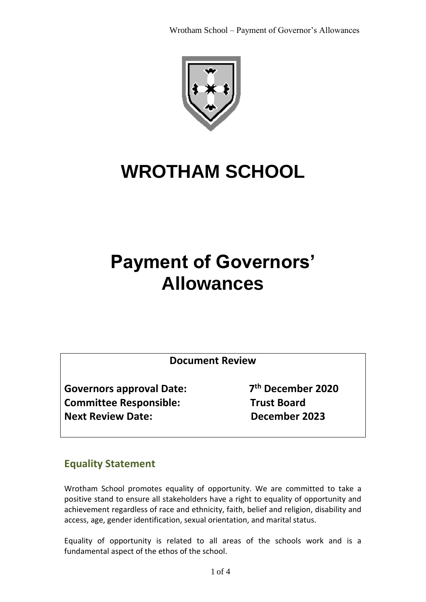

# **WROTHAM SCHOOL**

## **Payment of Governors' Allowances**

**Document Review**

**Governors approval Date: 7 Committee Responsible: Trust Board Next Review Date: December 2023**

**th December 2020**

### **Equality Statement**

Wrotham School promotes equality of opportunity. We are committed to take a positive stand to ensure all stakeholders have a right to equality of opportunity and achievement regardless of race and ethnicity, faith, belief and religion, disability and access, age, gender identification, sexual orientation, and marital status.

Equality of opportunity is related to all areas of the schools work and is a fundamental aspect of the ethos of the school.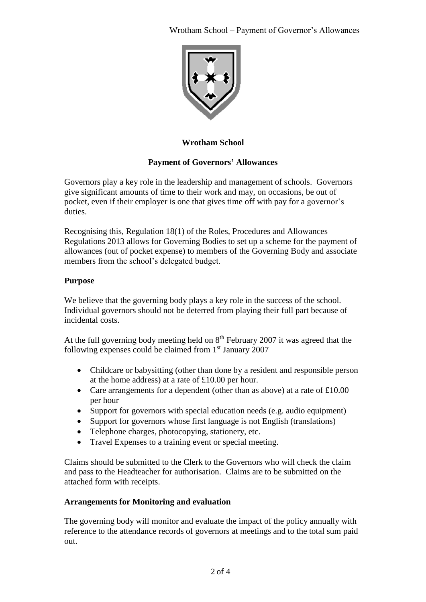

#### **Wrotham School**

#### **Payment of Governors' Allowances**

Governors play a key role in the leadership and management of schools. Governors give significant amounts of time to their work and may, on occasions, be out of pocket, even if their employer is one that gives time off with pay for a governor's duties.

Recognising this, Regulation 18(1) of the Roles, Procedures and Allowances Regulations 2013 allows for Governing Bodies to set up a scheme for the payment of allowances (out of pocket expense) to members of the Governing Body and associate members from the school's delegated budget.

#### **Purpose**

We believe that the governing body plays a key role in the success of the school. Individual governors should not be deterred from playing their full part because of incidental costs.

At the full governing body meeting held on 8<sup>th</sup> February 2007 it was agreed that the following expenses could be claimed from  $1<sup>st</sup>$  January 2007

- Childcare or babysitting (other than done by a resident and responsible person at the home address) at a rate of £10.00 per hour.
- Care arrangements for a dependent (other than as above) at a rate of £10.00 per hour
- Support for governors with special education needs (e.g. audio equipment)
- Support for governors whose first language is not English (translations)
- Telephone charges, photocopying, stationery, etc.
- Travel Expenses to a training event or special meeting.

Claims should be submitted to the Clerk to the Governors who will check the claim and pass to the Headteacher for authorisation. Claims are to be submitted on the attached form with receipts.

#### **Arrangements for Monitoring and evaluation**

The governing body will monitor and evaluate the impact of the policy annually with reference to the attendance records of governors at meetings and to the total sum paid out.